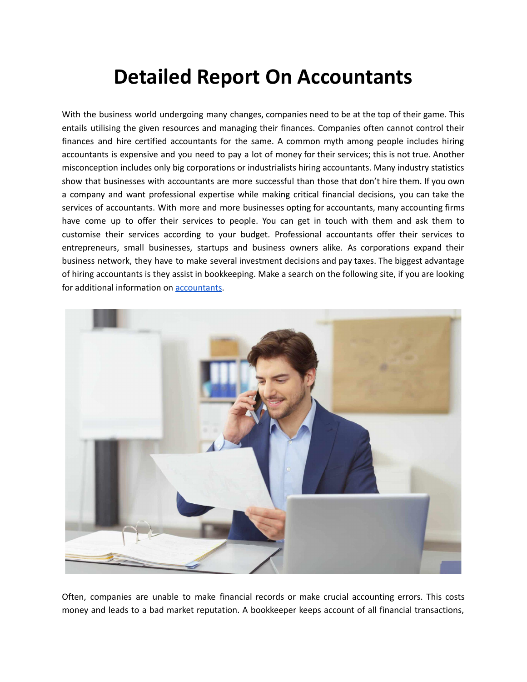## **Detailed Report On Accountants**

With the business world undergoing many changes, companies need to be at the top of their game. This entails utilising the given resources and managing their finances. Companies often cannot control their finances and hire certified accountants for the same. A common myth among people includes hiring accountants is expensive and you need to pay a lot of money for their services; this is not true. Another misconception includes only big corporations or industrialists hiring accountants. Many industry statistics show that businesses with accountants are more successful than those that don't hire them. If you own a company and want professional expertise while making critical financial decisions, you can take the services of accountants. With more and more businesses opting for accountants, many accounting firms have come up to offer their services to people. You can get in touch with them and ask them to customise their services according to your budget. Professional accountants offer their services to entrepreneurs, small businesses, startups and business owners alike. As corporations expand their business network, they have to make several investment decisions and pay taxes. The biggest advantage of hiring accountants is they assist in bookkeeping. Make a search on the following site, if you are looking for additional information on [accountants](https://charles-stewart.co.uk/).



Often, companies are unable to make financial records or make crucial accounting errors. This costs money and leads to a bad market reputation. A bookkeeper keeps account of all financial transactions,